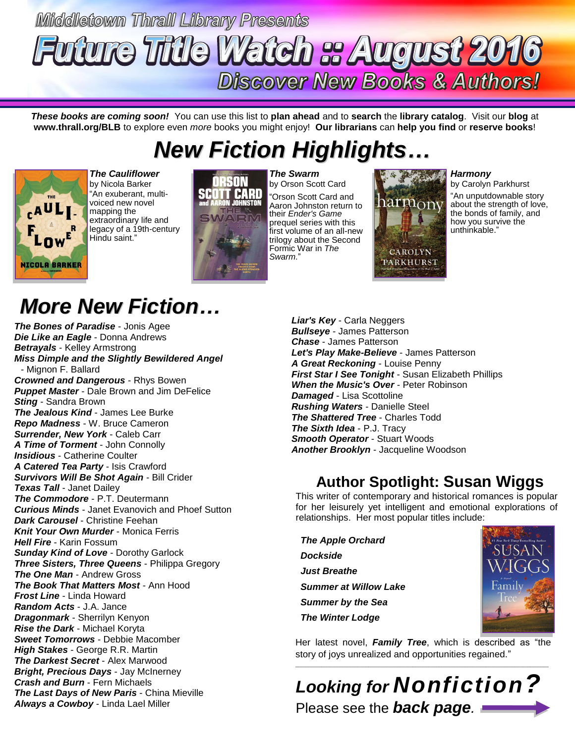## Middletown Thrall Library Presents **atch :: August 201** ture **Tritle Discover New Books & Authors!**

*These books are coming soon!* You can use this list to **plan ahead** and to **search** the **library catalog**. Visit our **blog** at **www.thrall.org/BLB** to explore even *more* books you might enjoy! **Our librarians** can **help you find** or **reserve books**!

# *New Fiction Highlights…*



*The Cauliflower* by Nicola Barker "An exuberant, multivoiced new novel mapping the extraordinary life and legacy of a 19th-century Hindu saint."



*The Swarm* by Orson Scott Card "Orson Scott Card and Aaron Johnston return to their *Ender's Game* prequel series with this first volume of an all-new trilogy about the Second Formic War in *The Swarm*."



#### *Harmony*

by Carolyn Parkhurst

"An unputdownable story about the strength of love, the bonds of family, and how you survive the unthinkable."

# *More New Fiction…*

*The Bones of Paradise* - Jonis Agee *Die Like an Eagle* - Donna Andrews *Betrayals* - Kelley Armstrong *Miss Dimple and the Slightly Bewildered Angel* - Mignon F. Ballard *Crowned and Dangerous* - Rhys Bowen *Puppet Master* - Dale Brown and Jim DeFelice *Sting* - Sandra Brown *The Jealous Kind* - James Lee Burke *Repo Madness* - W. Bruce Cameron *Surrender, New York* - Caleb Carr *A Time of Torment* - John Connolly *Insidious* - Catherine Coulter *A Catered Tea Party* - Isis Crawford *Survivors Will Be Shot Again* - Bill Crider *Texas Tall* - Janet Dailey *The Commodore* - P.T. Deutermann *Curious Minds* - Janet Evanovich and Phoef Sutton *Dark Carousel* - Christine Feehan *Knit Your Own Murder* - Monica Ferris *Hell Fire* - Karin Fossum *Sunday Kind of Love* - Dorothy Garlock *Three Sisters, Three Queens* - Philippa Gregory *The One Man* - Andrew Gross *The Book That Matters Most* - Ann Hood *Frost Line* - Linda Howard *Random Acts* - J.A. Jance *Dragonmark* - Sherrilyn Kenyon *Rise the Dark* - Michael Koryta *Sweet Tomorrows* - Debbie Macomber *High Stakes* - George R.R. Martin *The Darkest Secret* - Alex Marwood *Bright, Precious Days* - Jay McInerney *Crash and Burn* - Fern Michaels *The Last Days of New Paris* - China Mieville *Always a Cowboy* - Linda Lael Miller

*Liar's Key* - Carla Neggers *Bullseye* - James Patterson *Chase* - James Patterson *Let's Play Make-Believe* - James Patterson *A Great Reckoning* - Louise Penny **First Star I See Tonight** - Susan Elizabeth Phillips *When the Music's Over* - Peter Robinson *Damaged* - Lisa Scottoline *Rushing Waters* - Danielle Steel *The Shattered Tree* - Charles Todd *The Sixth Idea* - P.J. Tracy *Smooth Operator* - Stuart Woods *Another Brooklyn* - Jacqueline Woodson

### **Author Spotlight: Susan Wiggs**

This writer of contemporary and historical romances is popular for her leisurely yet intelligent and emotional explorations of relationships. Her most popular titles include:

 *The Apple Orchard Dockside Just Breathe Summer at Willow Lake Summer by the Sea*



Her latest novel, *Family Tree*, which is described as "the story of joys unrealized and opportunities regained."  $\_$  ,  $\_$  ,  $\_$  ,  $\_$  ,  $\_$  ,  $\_$  ,  $\_$  ,  $\_$  ,  $\_$  ,  $\_$  ,  $\_$  ,  $\_$  ,  $\_$  ,  $\_$  ,  $\_$  ,  $\_$  ,  $\_$  ,  $\_$  ,  $\_$  ,  $\_$  ,  $\_$  ,  $\_$  ,  $\_$  ,  $\_$  ,  $\_$  ,  $\_$  ,  $\_$  ,  $\_$  ,  $\_$  ,  $\_$  ,  $\_$  ,  $\_$  ,  $\_$  ,  $\_$  ,  $\_$  ,  $\_$  ,  $\_$  ,

*Looking for Nonfiction?* Please see the *back page.*